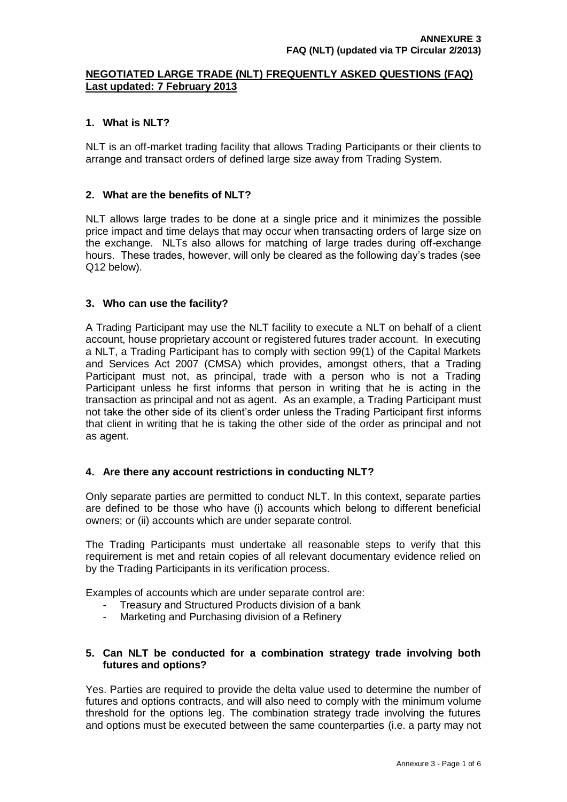## **NEGOTIATED LARGE TRADE (NLT) FREQUENTLY ASKED QUESTIONS (FAQ) Last updated: 7 February 2013**

## **1. What is NLT?**

NLT is an off-market trading facility that allows Trading Participants or their clients to arrange and transact orders of defined large size away from Trading System.

## **2. What are the benefits of NLT?**

NLT allows large trades to be done at a single price and it minimizes the possible price impact and time delays that may occur when transacting orders of large size on the exchange. NLTs also allows for matching of large trades during off-exchange hours. These trades, however, will only be cleared as the following day"s trades (see Q12 below).

## **3. Who can use the facility?**

A Trading Participant may use the NLT facility to execute a NLT on behalf of a client account, house proprietary account or registered futures trader account. In executing a NLT, a Trading Participant has to comply with section 99(1) of the Capital Markets and Services Act 2007 (CMSA) which provides, amongst others, that a Trading Participant must not, as principal, trade with a person who is not a Trading Participant unless he first informs that person in writing that he is acting in the transaction as principal and not as agent. As an example, a Trading Participant must not take the other side of its client"s order unless the Trading Participant first informs that client in writing that he is taking the other side of the order as principal and not as agent.

# **4. Are there any account restrictions in conducting NLT?**

Only separate parties are permitted to conduct NLT. In this context, separate parties are defined to be those who have (i) accounts which belong to different beneficial owners; or (ii) accounts which are under separate control.

The Trading Participants must undertake all reasonable steps to verify that this requirement is met and retain copies of all relevant documentary evidence relied on by the Trading Participants in its verification process.

Examples of accounts which are under separate control are:

- Treasury and Structured Products division of a bank
- Marketing and Purchasing division of a Refinery

## **5. Can NLT be conducted for a combination strategy trade involving both futures and options?**

Yes. Parties are required to provide the delta value used to determine the number of futures and options contracts, and will also need to comply with the minimum volume threshold for the options leg. The combination strategy trade involving the futures and options must be executed between the same counterparties (i.e. a party may not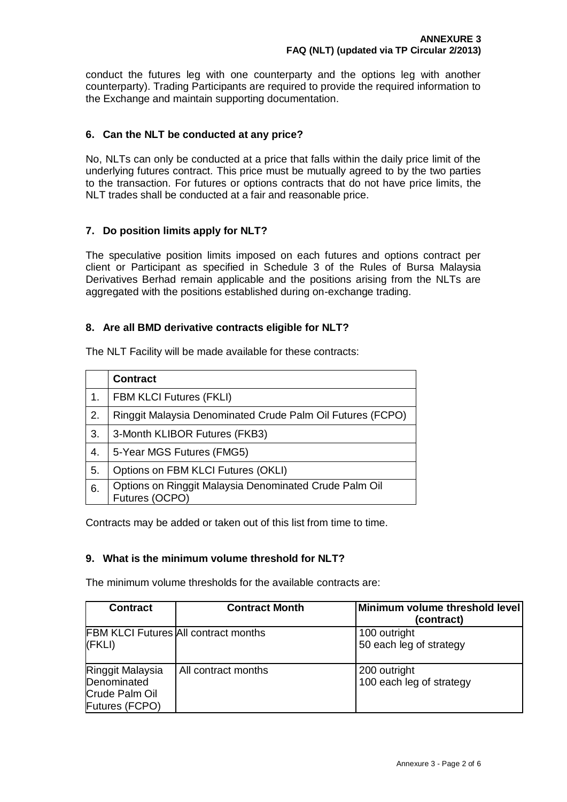conduct the futures leg with one counterparty and the options leg with another counterparty). Trading Participants are required to provide the required information to the Exchange and maintain supporting documentation.

## **6. Can the NLT be conducted at any price?**

No, NLTs can only be conducted at a price that falls within the daily price limit of the underlying futures contract. This price must be mutually agreed to by the two parties to the transaction. For futures or options contracts that do not have price limits, the NLT trades shall be conducted at a fair and reasonable price.

## **7. Do position limits apply for NLT?**

The speculative position limits imposed on each futures and options contract per client or Participant as specified in Schedule 3 of the Rules of Bursa Malaysia Derivatives Berhad remain applicable and the positions arising from the NLTs are aggregated with the positions established during on-exchange trading.

## **8. Are all BMD derivative contracts eligible for NLT?**

|    | <b>Contract</b>                                                          |
|----|--------------------------------------------------------------------------|
| 1. | <b>FBM KLCI Futures (FKLI)</b>                                           |
| 2. | Ringgit Malaysia Denominated Crude Palm Oil Futures (FCPO)               |
| 3. | 3-Month KLIBOR Futures (FKB3)                                            |
| 4. | 5-Year MGS Futures (FMG5)                                                |
| 5. | Options on FBM KLCI Futures (OKLI)                                       |
| 6. | Options on Ringgit Malaysia Denominated Crude Palm Oil<br>Futures (OCPO) |

The NLT Facility will be made available for these contracts:

Contracts may be added or taken out of this list from time to time.

#### **9. What is the minimum volume threshold for NLT?**

The minimum volume thresholds for the available contracts are:

| <b>Contract</b>                                                     | <b>Contract Month</b>                       | Minimum volume threshold level<br>(contract) |
|---------------------------------------------------------------------|---------------------------------------------|----------------------------------------------|
| (FKLI)                                                              | <b>FBM KLCI Futures All contract months</b> | 100 outright<br>50 each leg of strategy      |
| Ringgit Malaysia<br>Denominated<br>Crude Palm Oil<br>Futures (FCPO) | All contract months                         | 200 outright<br>100 each leg of strategy     |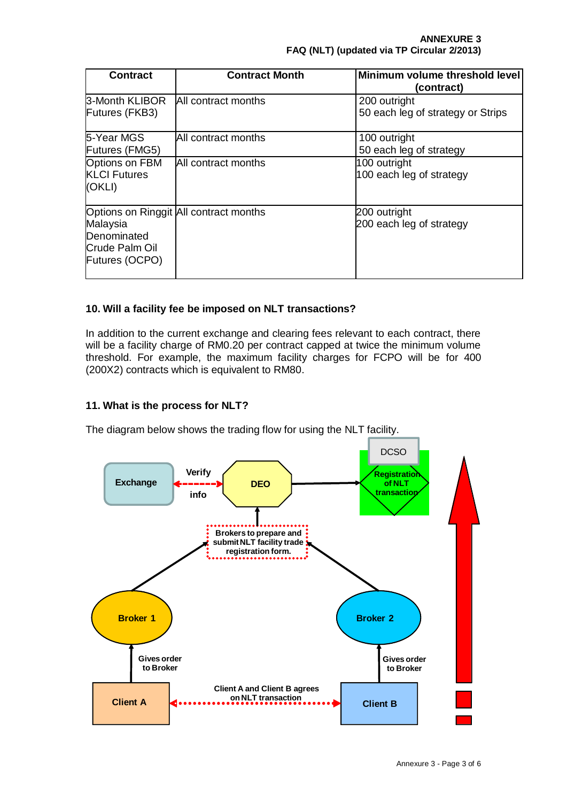| <b>Contract</b>                                             | <b>Contract Month</b>                  | Minimum volume threshold level<br>(contract)      |
|-------------------------------------------------------------|----------------------------------------|---------------------------------------------------|
| 3-Month KLIBOR<br>Futures (FKB3)                            | <b>All contract months</b>             | 200 outright<br>50 each leg of strategy or Strips |
| 5-Year MGS<br>Futures (FMG5)                                | All contract months                    | 100 outright<br>50 each leg of strategy           |
| <b>Options on FBM</b><br><b>KLCI Futures</b><br>(OKLI)      | All contract months                    | 100 outright<br>100 each leg of strategy          |
| Malaysia<br>Denominated<br>Crude Palm Oil<br>Futures (OCPO) | Options on Ringgit All contract months | 200 outright<br>200 each leg of strategy          |

# **10. Will a facility fee be imposed on NLT transactions?**

In addition to the current exchange and clearing fees relevant to each contract, there will be a facility charge of RM0.20 per contract capped at twice the minimum volume threshold. For example, the maximum facility charges for FCPO will be for 400 (200X2) contracts which is equivalent to RM80.

# **11. What is the process for NLT?**

The diagram below shows the trading flow for using the NLT facility.

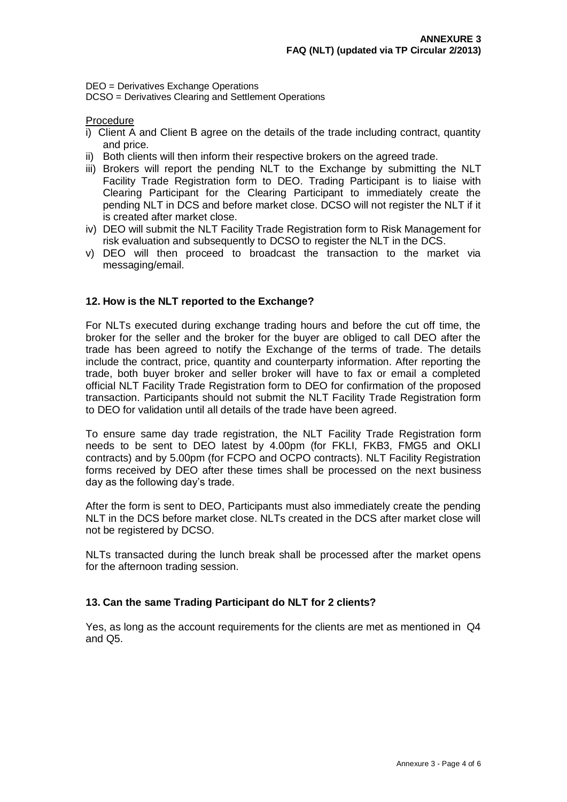DEO = Derivatives Exchange Operations

DCSO = Derivatives Clearing and Settlement Operations

Procedure

- i) Client A and Client B agree on the details of the trade including contract, quantity and price.
- ii) Both clients will then inform their respective brokers on the agreed trade.
- iii) Brokers will report the pending NLT to the Exchange by submitting the NLT Facility Trade Registration form to DEO. Trading Participant is to liaise with Clearing Participant for the Clearing Participant to immediately create the pending NLT in DCS and before market close. DCSO will not register the NLT if it is created after market close.
- iv) DEO will submit the NLT Facility Trade Registration form to Risk Management for risk evaluation and subsequently to DCSO to register the NLT in the DCS.
- v) DEO will then proceed to broadcast the transaction to the market via messaging/email.

## **12. How is the NLT reported to the Exchange?**

For NLTs executed during exchange trading hours and before the cut off time, the broker for the seller and the broker for the buyer are obliged to call DEO after the trade has been agreed to notify the Exchange of the terms of trade. The details include the contract, price, quantity and counterparty information. After reporting the trade, both buyer broker and seller broker will have to fax or email a completed official NLT Facility Trade Registration form to DEO for confirmation of the proposed transaction. Participants should not submit the NLT Facility Trade Registration form to DEO for validation until all details of the trade have been agreed.

To ensure same day trade registration, the NLT Facility Trade Registration form needs to be sent to DEO latest by 4.00pm (for FKLI, FKB3, FMG5 and OKLI contracts) and by 5.00pm (for FCPO and OCPO contracts). NLT Facility Registration forms received by DEO after these times shall be processed on the next business day as the following day"s trade.

After the form is sent to DEO, Participants must also immediately create the pending NLT in the DCS before market close. NLTs created in the DCS after market close will not be registered by DCSO.

NLTs transacted during the lunch break shall be processed after the market opens for the afternoon trading session.

#### **13. Can the same Trading Participant do NLT for 2 clients?**

Yes, as long as the account requirements for the clients are met as mentioned in Q4 and Q5.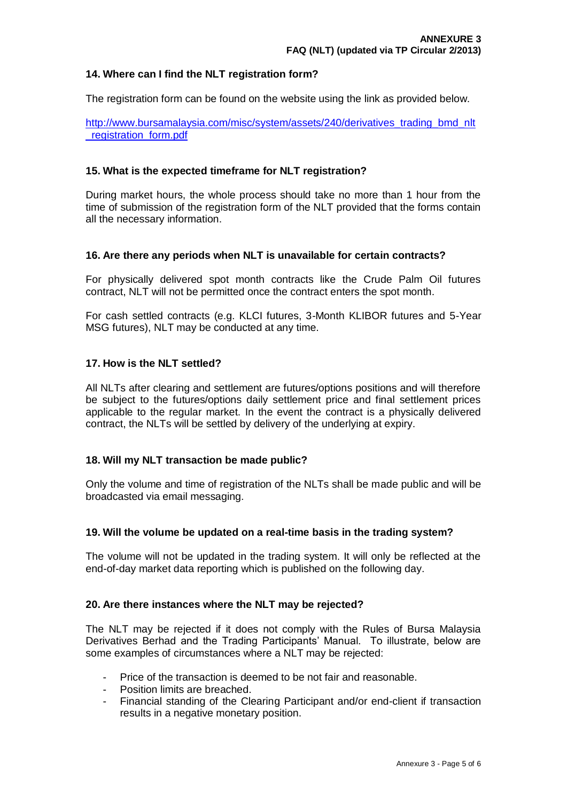## **14. Where can I find the NLT registration form?**

The registration form can be found on the website using the link as provided below.

[http://www.bursamalaysia.com/misc/system/assets/240/derivatives\\_trading\\_bmd\\_nlt](http://www.bursamalaysia.com/misc/system/assets/240/derivatives_trading_bmd_nlt_registration_form.pdf) registration form.pdf

### **15. What is the expected timeframe for NLT registration?**

During market hours, the whole process should take no more than 1 hour from the time of submission of the registration form of the NLT provided that the forms contain all the necessary information.

#### **16. Are there any periods when NLT is unavailable for certain contracts?**

For physically delivered spot month contracts like the Crude Palm Oil futures contract, NLT will not be permitted once the contract enters the spot month.

For cash settled contracts (e.g. KLCI futures, 3-Month KLIBOR futures and 5-Year MSG futures), NLT may be conducted at any time.

## **17. How is the NLT settled?**

All NLTs after clearing and settlement are futures/options positions and will therefore be subject to the futures/options daily settlement price and final settlement prices applicable to the regular market. In the event the contract is a physically delivered contract, the NLTs will be settled by delivery of the underlying at expiry.

#### **18. Will my NLT transaction be made public?**

Only the volume and time of registration of the NLTs shall be made public and will be broadcasted via email messaging.

#### **19. Will the volume be updated on a real-time basis in the trading system?**

The volume will not be updated in the trading system. It will only be reflected at the end-of-day market data reporting which is published on the following day.

#### **20. Are there instances where the NLT may be rejected?**

The NLT may be rejected if it does not comply with the Rules of Bursa Malaysia Derivatives Berhad and the Trading Participants" Manual. To illustrate, below are some examples of circumstances where a NLT may be rejected:

- Price of the transaction is deemed to be not fair and reasonable.
- Position limits are breached.
- Financial standing of the Clearing Participant and/or end-client if transaction results in a negative monetary position.